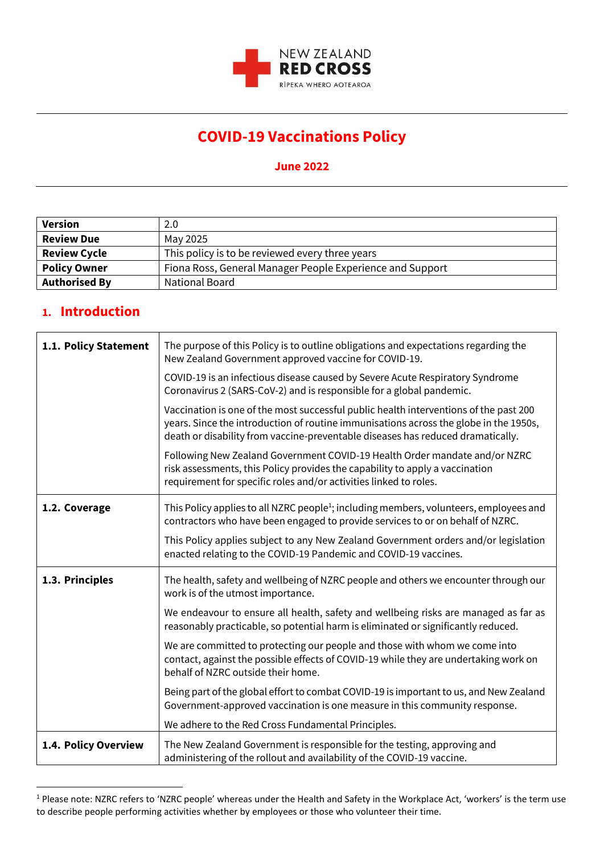

## **COVID-19 Vaccinations Policy**

## **June 2022**

| Version              | 2.0                                                       |
|----------------------|-----------------------------------------------------------|
| <b>Review Due</b>    | May 2025                                                  |
| <b>Review Cycle</b>  | This policy is to be reviewed every three years           |
| <b>Policy Owner</b>  | Fiona Ross, General Manager People Experience and Support |
| <b>Authorised By</b> | <b>National Board</b>                                     |

## **1. Introduction**

| 1.1. Policy Statement | The purpose of this Policy is to outline obligations and expectations regarding the<br>New Zealand Government approved vaccine for COVID-19.                                                                                                                      |
|-----------------------|-------------------------------------------------------------------------------------------------------------------------------------------------------------------------------------------------------------------------------------------------------------------|
|                       | COVID-19 is an infectious disease caused by Severe Acute Respiratory Syndrome<br>Coronavirus 2 (SARS-CoV-2) and is responsible for a global pandemic.                                                                                                             |
|                       | Vaccination is one of the most successful public health interventions of the past 200<br>years. Since the introduction of routine immunisations across the globe in the 1950s,<br>death or disability from vaccine-preventable diseases has reduced dramatically. |
|                       | Following New Zealand Government COVID-19 Health Order mandate and/or NZRC<br>risk assessments, this Policy provides the capability to apply a vaccination<br>requirement for specific roles and/or activities linked to roles.                                   |
| 1.2. Coverage         | This Policy applies to all NZRC people <sup>1</sup> ; including members, volunteers, employees and<br>contractors who have been engaged to provide services to or on behalf of NZRC.                                                                              |
|                       | This Policy applies subject to any New Zealand Government orders and/or legislation<br>enacted relating to the COVID-19 Pandemic and COVID-19 vaccines.                                                                                                           |
| 1.3. Principles       | The health, safety and wellbeing of NZRC people and others we encounter through our<br>work is of the utmost importance.                                                                                                                                          |
|                       | We endeavour to ensure all health, safety and wellbeing risks are managed as far as<br>reasonably practicable, so potential harm is eliminated or significantly reduced.                                                                                          |
|                       | We are committed to protecting our people and those with whom we come into<br>contact, against the possible effects of COVID-19 while they are undertaking work on<br>behalf of NZRC outside their home.                                                          |
|                       | Being part of the global effort to combat COVID-19 is important to us, and New Zealand<br>Government-approved vaccination is one measure in this community response.                                                                                              |
|                       | We adhere to the Red Cross Fundamental Principles.                                                                                                                                                                                                                |
| 1.4. Policy Overview  | The New Zealand Government is responsible for the testing, approving and<br>administering of the rollout and availability of the COVID-19 vaccine.                                                                                                                |

<sup>&</sup>lt;sup>1</sup> Please note: NZRC refers to 'NZRC people' whereas under the Health and Safety in the Workplace Act, 'workers' is the term use to describe people performing activities whether by employees or those who volunteer their time.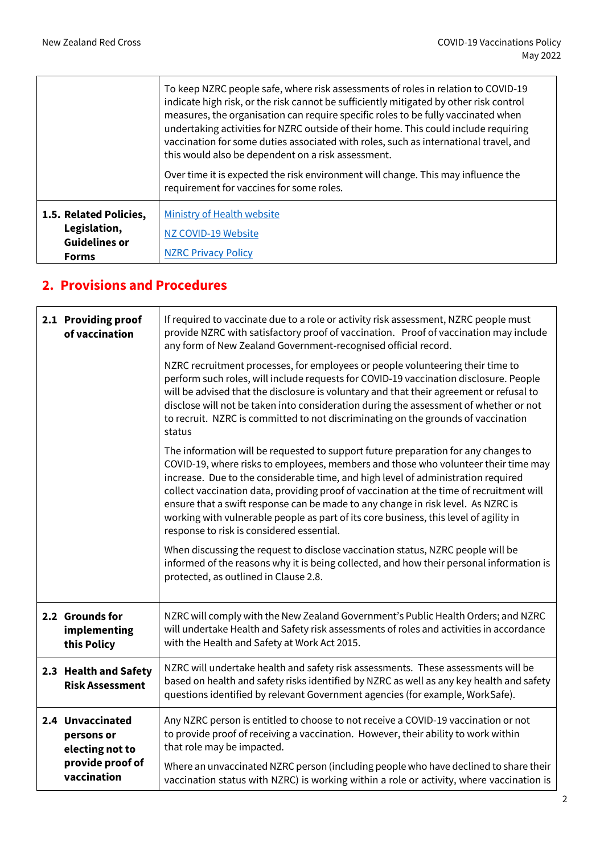$\mathsf{r}$ 

|                                                                                | To keep NZRC people safe, where risk assessments of roles in relation to COVID-19<br>indicate high risk, or the risk cannot be sufficiently mitigated by other risk control<br>measures, the organisation can require specific roles to be fully vaccinated when<br>undertaking activities for NZRC outside of their home. This could include requiring<br>vaccination for some duties associated with roles, such as international travel, and<br>this would also be dependent on a risk assessment.<br>Over time it is expected the risk environment will change. This may influence the<br>requirement for vaccines for some roles. |
|--------------------------------------------------------------------------------|----------------------------------------------------------------------------------------------------------------------------------------------------------------------------------------------------------------------------------------------------------------------------------------------------------------------------------------------------------------------------------------------------------------------------------------------------------------------------------------------------------------------------------------------------------------------------------------------------------------------------------------|
| 1.5. Related Policies,<br>Legislation,<br><b>Guidelines or</b><br><b>Forms</b> | Ministry of Health website<br>NZ COVID-19 Website<br><b>NZRC Privacy Policy</b>                                                                                                                                                                                                                                                                                                                                                                                                                                                                                                                                                        |

## **2. Provisions and Procedures**

| 2.1 Providing proof<br>of vaccination             | If required to vaccinate due to a role or activity risk assessment, NZRC people must<br>provide NZRC with satisfactory proof of vaccination. Proof of vaccination may include<br>any form of New Zealand Government-recognised official record.                                                                                                                                                                                                                                                                                                                                     |
|---------------------------------------------------|-------------------------------------------------------------------------------------------------------------------------------------------------------------------------------------------------------------------------------------------------------------------------------------------------------------------------------------------------------------------------------------------------------------------------------------------------------------------------------------------------------------------------------------------------------------------------------------|
|                                                   | NZRC recruitment processes, for employees or people volunteering their time to<br>perform such roles, will include requests for COVID-19 vaccination disclosure. People<br>will be advised that the disclosure is voluntary and that their agreement or refusal to<br>disclose will not be taken into consideration during the assessment of whether or not<br>to recruit. NZRC is committed to not discriminating on the grounds of vaccination<br>status                                                                                                                          |
|                                                   | The information will be requested to support future preparation for any changes to<br>COVID-19, where risks to employees, members and those who volunteer their time may<br>increase. Due to the considerable time, and high level of administration required<br>collect vaccination data, providing proof of vaccination at the time of recruitment will<br>ensure that a swift response can be made to any change in risk level. As NZRC is<br>working with vulnerable people as part of its core business, this level of agility in<br>response to risk is considered essential. |
|                                                   | When discussing the request to disclose vaccination status, NZRC people will be<br>informed of the reasons why it is being collected, and how their personal information is<br>protected, as outlined in Clause 2.8.                                                                                                                                                                                                                                                                                                                                                                |
| 2.2 Grounds for<br>implementing<br>this Policy    | NZRC will comply with the New Zealand Government's Public Health Orders; and NZRC<br>will undertake Health and Safety risk assessments of roles and activities in accordance<br>with the Health and Safety at Work Act 2015.                                                                                                                                                                                                                                                                                                                                                        |
| 2.3 Health and Safety<br><b>Risk Assessment</b>   | NZRC will undertake health and safety risk assessments. These assessments will be<br>based on health and safety risks identified by NZRC as well as any key health and safety<br>questions identified by relevant Government agencies (for example, WorkSafe).                                                                                                                                                                                                                                                                                                                      |
| 2.4 Unvaccinated<br>persons or<br>electing not to | Any NZRC person is entitled to choose to not receive a COVID-19 vaccination or not<br>to provide proof of receiving a vaccination. However, their ability to work within<br>that role may be impacted.                                                                                                                                                                                                                                                                                                                                                                              |
| provide proof of<br>vaccination                   | Where an unvaccinated NZRC person (including people who have declined to share their<br>vaccination status with NZRC) is working within a role or activity, where vaccination is                                                                                                                                                                                                                                                                                                                                                                                                    |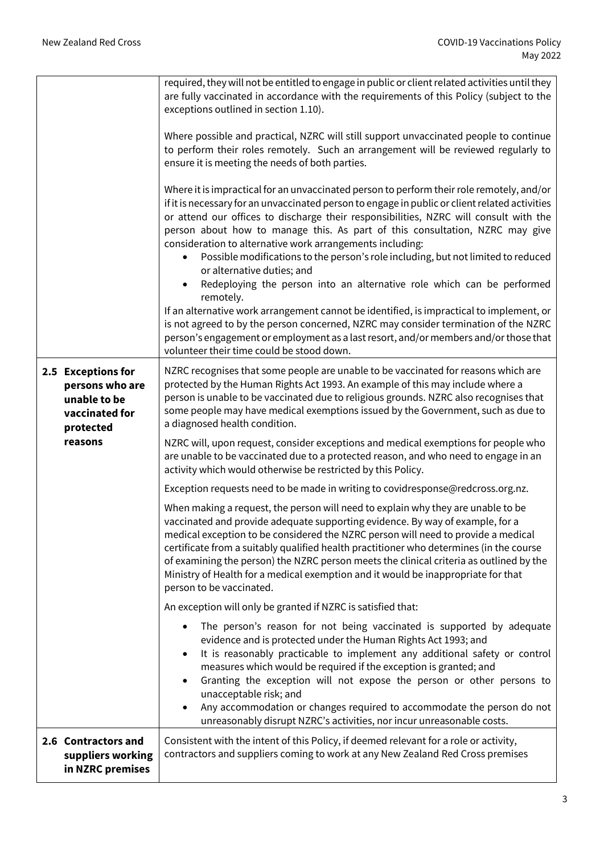|                                                                                      | required, they will not be entitled to engage in public or client related activities until they<br>are fully vaccinated in accordance with the requirements of this Policy (subject to the<br>exceptions outlined in section 1.10).                                                                                                                                                                                                                                                                                                                                                                                                                                                                                                                                                                                                                                                                                                                                              |
|--------------------------------------------------------------------------------------|----------------------------------------------------------------------------------------------------------------------------------------------------------------------------------------------------------------------------------------------------------------------------------------------------------------------------------------------------------------------------------------------------------------------------------------------------------------------------------------------------------------------------------------------------------------------------------------------------------------------------------------------------------------------------------------------------------------------------------------------------------------------------------------------------------------------------------------------------------------------------------------------------------------------------------------------------------------------------------|
|                                                                                      | Where possible and practical, NZRC will still support unvaccinated people to continue<br>to perform their roles remotely. Such an arrangement will be reviewed regularly to<br>ensure it is meeting the needs of both parties.                                                                                                                                                                                                                                                                                                                                                                                                                                                                                                                                                                                                                                                                                                                                                   |
|                                                                                      | Where it is impractical for an unvaccinated person to perform their role remotely, and/or<br>if it is necessary for an unvaccinated person to engage in public or client related activities<br>or attend our offices to discharge their responsibilities, NZRC will consult with the<br>person about how to manage this. As part of this consultation, NZRC may give<br>consideration to alternative work arrangements including:<br>Possible modifications to the person's role including, but not limited to reduced<br>or alternative duties; and<br>Redeploying the person into an alternative role which can be performed<br>$\bullet$<br>remotely.<br>If an alternative work arrangement cannot be identified, is impractical to implement, or<br>is not agreed to by the person concerned, NZRC may consider termination of the NZRC<br>person's engagement or employment as a last resort, and/or members and/or those that<br>volunteer their time could be stood down. |
| 2.5 Exceptions for<br>persons who are<br>unable to be<br>vaccinated for<br>protected | NZRC recognises that some people are unable to be vaccinated for reasons which are<br>protected by the Human Rights Act 1993. An example of this may include where a<br>person is unable to be vaccinated due to religious grounds. NZRC also recognises that<br>some people may have medical exemptions issued by the Government, such as due to<br>a diagnosed health condition.                                                                                                                                                                                                                                                                                                                                                                                                                                                                                                                                                                                               |
| reasons                                                                              | NZRC will, upon request, consider exceptions and medical exemptions for people who<br>are unable to be vaccinated due to a protected reason, and who need to engage in an<br>activity which would otherwise be restricted by this Policy.                                                                                                                                                                                                                                                                                                                                                                                                                                                                                                                                                                                                                                                                                                                                        |
|                                                                                      | Exception requests need to be made in writing to covidresponse@redcross.org.nz.                                                                                                                                                                                                                                                                                                                                                                                                                                                                                                                                                                                                                                                                                                                                                                                                                                                                                                  |
|                                                                                      | When making a request, the person will need to explain why they are unable to be<br>vaccinated and provide adequate supporting evidence. By way of example, for a<br>medical exception to be considered the NZRC person will need to provide a medical<br>certificate from a suitably qualified health practitioner who determines (in the course<br>of examining the person) the NZRC person meets the clinical criteria as outlined by the<br>Ministry of Health for a medical exemption and it would be inappropriate for that<br>person to be vaccinated.                                                                                                                                                                                                                                                                                                                                                                                                                    |
|                                                                                      | An exception will only be granted if NZRC is satisfied that:                                                                                                                                                                                                                                                                                                                                                                                                                                                                                                                                                                                                                                                                                                                                                                                                                                                                                                                     |
|                                                                                      | The person's reason for not being vaccinated is supported by adequate<br>evidence and is protected under the Human Rights Act 1993; and<br>It is reasonably practicable to implement any additional safety or control<br>measures which would be required if the exception is granted; and<br>Granting the exception will not expose the person or other persons to<br>unacceptable risk; and<br>Any accommodation or changes required to accommodate the person do not<br>unreasonably disrupt NZRC's activities, nor incur unreasonable costs.                                                                                                                                                                                                                                                                                                                                                                                                                                 |
| 2.6 Contractors and<br>suppliers working<br>in NZRC premises                         | Consistent with the intent of this Policy, if deemed relevant for a role or activity,<br>contractors and suppliers coming to work at any New Zealand Red Cross premises                                                                                                                                                                                                                                                                                                                                                                                                                                                                                                                                                                                                                                                                                                                                                                                                          |